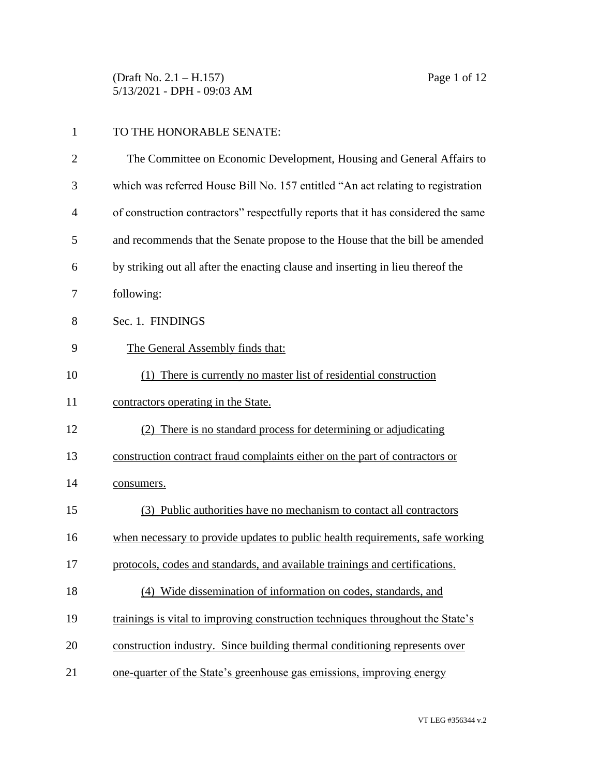(Draft No. 2.1 – H.157) Page 1 of 12 5/13/2021 - DPH - 09:03 AM

| TO THE HONORABLE SENATE: |
|--------------------------|
|                          |

| $\overline{2}$ | The Committee on Economic Development, Housing and General Affairs to             |
|----------------|-----------------------------------------------------------------------------------|
| 3              | which was referred House Bill No. 157 entitled "An act relating to registration   |
| 4              | of construction contractors" respectfully reports that it has considered the same |
| 5              | and recommends that the Senate propose to the House that the bill be amended      |
| 6              | by striking out all after the enacting clause and inserting in lieu thereof the   |
| 7              | following:                                                                        |
| 8              | Sec. 1. FINDINGS                                                                  |
| 9              | The General Assembly finds that:                                                  |
| 10             | (1) There is currently no master list of residential construction                 |
| 11             | contractors operating in the State.                                               |
| 12             | (2) There is no standard process for determining or adjudicating                  |
| 13             | construction contract fraud complaints either on the part of contractors or       |
| 14             | consumers.                                                                        |
| 15             | (3) Public authorities have no mechanism to contact all contractors               |
| 16             | when necessary to provide updates to public health requirements, safe working     |
| 17             | protocols, codes and standards, and available trainings and certifications.       |
| 18             | (4)<br>Wide dissemination of information on codes, standards, and                 |
| 19             | trainings is vital to improving construction techniques throughout the State's    |
| 20             | construction industry. Since building thermal conditioning represents over        |
| 21             | one-quarter of the State's greenhouse gas emissions, improving energy             |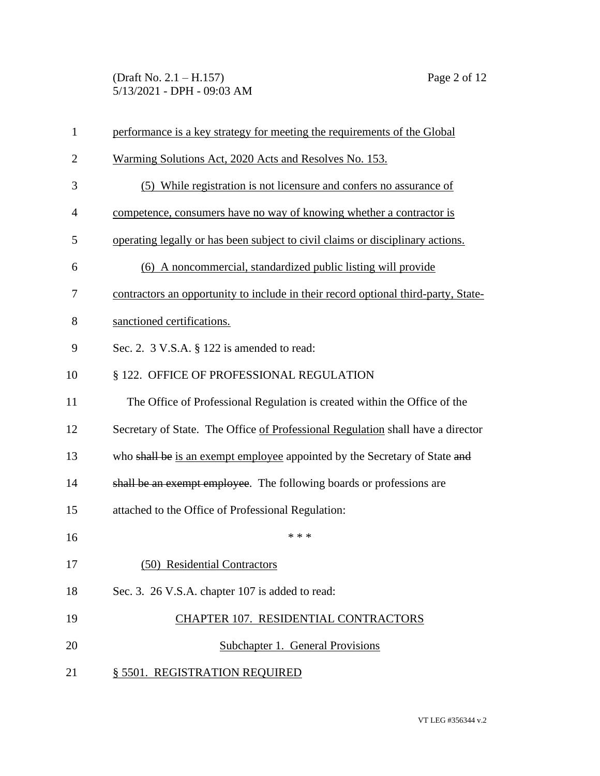(Draft No. 2.1 – H.157) Page 2 of 12 5/13/2021 - DPH - 09:03 AM

| $\mathbf{1}$   | performance is a key strategy for meeting the requirements of the Global           |
|----------------|------------------------------------------------------------------------------------|
| $\overline{2}$ | Warming Solutions Act, 2020 Acts and Resolves No. 153.                             |
| 3              | (5) While registration is not licensure and confers no assurance of                |
| $\overline{4}$ | competence, consumers have no way of knowing whether a contractor is               |
| 5              | operating legally or has been subject to civil claims or disciplinary actions.     |
| 6              | (6) A noncommercial, standardized public listing will provide                      |
| 7              | contractors an opportunity to include in their record optional third-party, State- |
| 8              | sanctioned certifications.                                                         |
| 9              | Sec. 2. $3$ V.S.A. $\S$ 122 is amended to read:                                    |
| 10             | § 122. OFFICE OF PROFESSIONAL REGULATION                                           |
| 11             | The Office of Professional Regulation is created within the Office of the          |
| 12             | Secretary of State. The Office of Professional Regulation shall have a director    |
| 13             | who shall be is an exempt employee appointed by the Secretary of State and         |
| 14             | shall be an exempt employee. The following boards or professions are               |
| 15             | attached to the Office of Professional Regulation:                                 |
| 16             | * * *                                                                              |
| 17             | (50) Residential Contractors                                                       |
| 18             | Sec. 3. 26 V.S.A. chapter 107 is added to read:                                    |
| 19             | CHAPTER 107. RESIDENTIAL CONTRACTORS                                               |
| 20             | <b>Subchapter 1. General Provisions</b>                                            |
| 21             | § 5501. REGISTRATION REQUIRED                                                      |
|                |                                                                                    |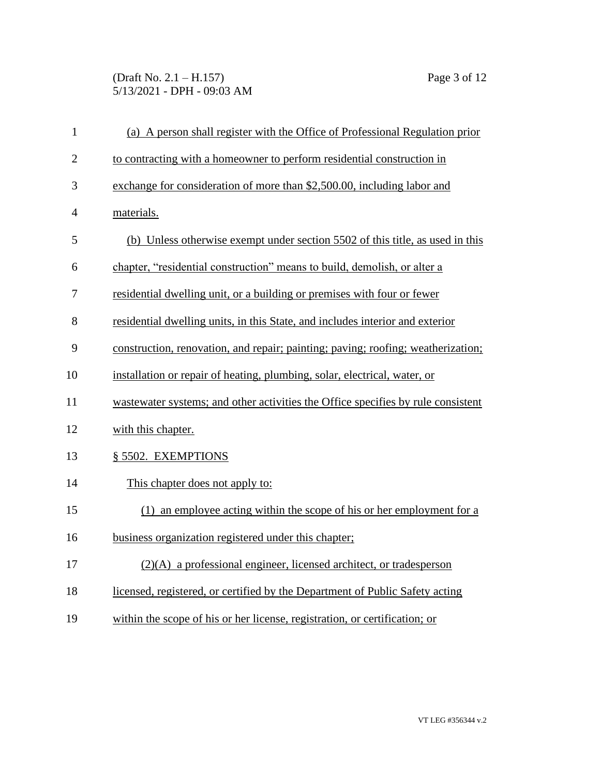(Draft No. 2.1 – H.157) Page 3 of 12 5/13/2021 - DPH - 09:03 AM

| $\mathbf{1}$   | (a) A person shall register with the Office of Professional Regulation prior     |
|----------------|----------------------------------------------------------------------------------|
| $\overline{2}$ | to contracting with a homeowner to perform residential construction in           |
| 3              | exchange for consideration of more than \$2,500.00, including labor and          |
| $\overline{4}$ | materials.                                                                       |
| 5              | (b) Unless otherwise exempt under section 5502 of this title, as used in this    |
| 6              | chapter, "residential construction" means to build, demolish, or alter a         |
| 7              | residential dwelling unit, or a building or premises with four or fewer          |
| 8              | residential dwelling units, in this State, and includes interior and exterior    |
| 9              | construction, renovation, and repair; painting; paving; roofing; weatherization; |
| 10             | installation or repair of heating, plumbing, solar, electrical, water, or        |
| 11             | wastewater systems; and other activities the Office specifies by rule consistent |
| 12             | with this chapter.                                                               |
| 13             | § 5502. EXEMPTIONS                                                               |
| 14             | This chapter does not apply to:                                                  |
| 15             | (1) an employee acting within the scope of his or her employment for a           |
| 16             | business organization registered under this chapter;                             |
| 17             | $(2)(A)$ a professional engineer, licensed architect, or tradesperson            |
| 18             | licensed, registered, or certified by the Department of Public Safety acting     |
| 19             | within the scope of his or her license, registration, or certification; or       |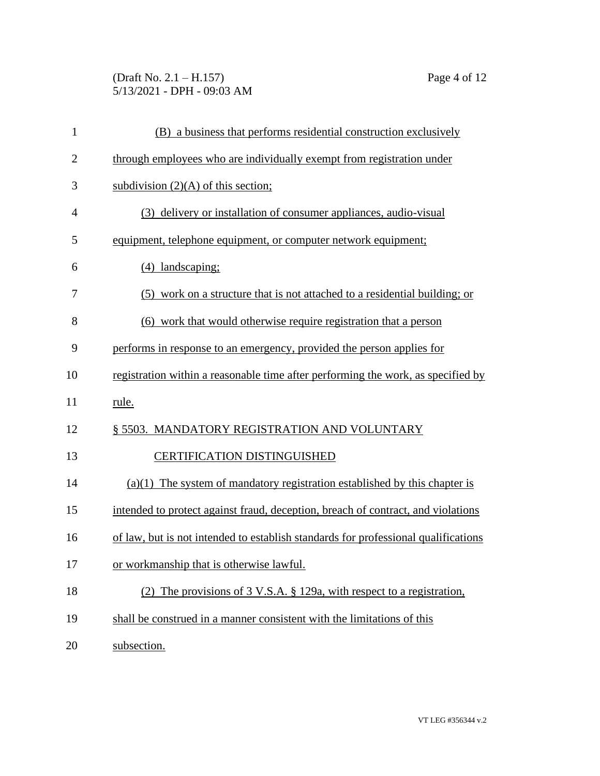# (Draft No. 2.1 – H.157) Page 4 of 12 5/13/2021 - DPH - 09:03 AM

| $\mathbf{1}$   | (B) a business that performs residential construction exclusively                  |
|----------------|------------------------------------------------------------------------------------|
| $\overline{2}$ | through employees who are individually exempt from registration under              |
| 3              | subdivision $(2)(A)$ of this section;                                              |
| $\overline{4}$ | (3) delivery or installation of consumer appliances, audio-visual                  |
| 5              | equipment, telephone equipment, or computer network equipment;                     |
| 6              | (4) landscaping;                                                                   |
| 7              | (5) work on a structure that is not attached to a residential building; or         |
| 8              | (6) work that would otherwise require registration that a person                   |
| 9              | performs in response to an emergency, provided the person applies for              |
| 10             | registration within a reasonable time after performing the work, as specified by   |
| 11             | rule.                                                                              |
| 12             | § 5503. MANDATORY REGISTRATION AND VOLUNTARY                                       |
| 13             | <b>CERTIFICATION DISTINGUISHED</b>                                                 |
| 14             | $(a)(1)$ The system of mandatory registration established by this chapter is       |
| 15             | intended to protect against fraud, deception, breach of contract, and violations   |
| 16             | of law, but is not intended to establish standards for professional qualifications |
| 17             | or workmanship that is otherwise lawful.                                           |
| 18             | (2) The provisions of $3 \text{ V.S.A. }$ § 129a, with respect to a registration,  |
| 19             | shall be construed in a manner consistent with the limitations of this             |
| 20             | subsection.                                                                        |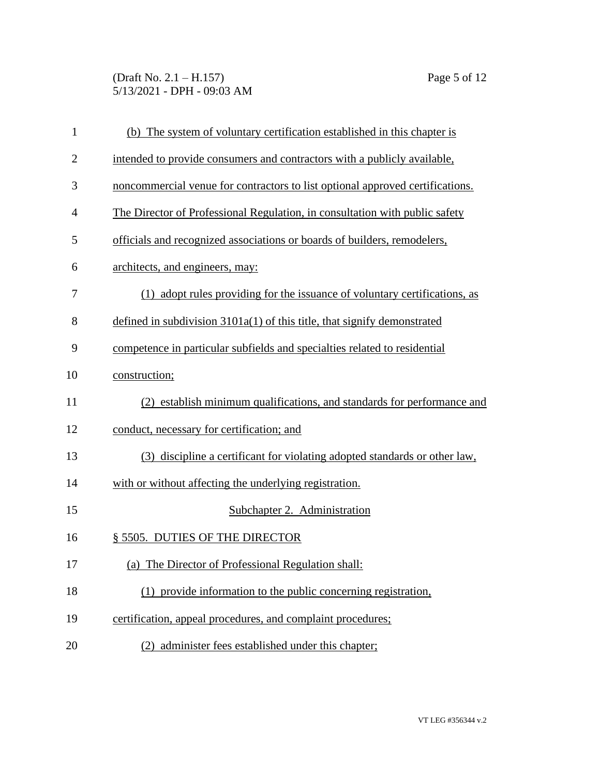(Draft No. 2.1 – H.157) Page 5 of 12 5/13/2021 - DPH - 09:03 AM

| $\mathbf{1}$   | (b) The system of voluntary certification established in this chapter is      |
|----------------|-------------------------------------------------------------------------------|
| $\overline{2}$ | intended to provide consumers and contractors with a publicly available,      |
| 3              | noncommercial venue for contractors to list optional approved certifications. |
| $\overline{4}$ | The Director of Professional Regulation, in consultation with public safety   |
| 5              | officials and recognized associations or boards of builders, remodelers,      |
| 6              | architects, and engineers, may:                                               |
| 7              | (1) adopt rules providing for the issuance of voluntary certifications, as    |
| 8              | defined in subdivision $3101a(1)$ of this title, that signify demonstrated    |
| 9              | competence in particular subfields and specialties related to residential     |
| 10             | construction;                                                                 |
| 11             | (2) establish minimum qualifications, and standards for performance and       |
| 12             | conduct, necessary for certification; and                                     |
| 13             | discipline a certificant for violating adopted standards or other law,<br>(3) |
| 14             | with or without affecting the underlying registration.                        |
| 15             | Subchapter 2. Administration                                                  |
| 16             | § 5505. DUTIES OF THE DIRECTOR                                                |
| 17             | (a) The Director of Professional Regulation shall:                            |
| 18             | (1) provide information to the public concerning registration,                |
| 19             | certification, appeal procedures, and complaint procedures;                   |
| 20             | (2) administer fees established under this chapter;                           |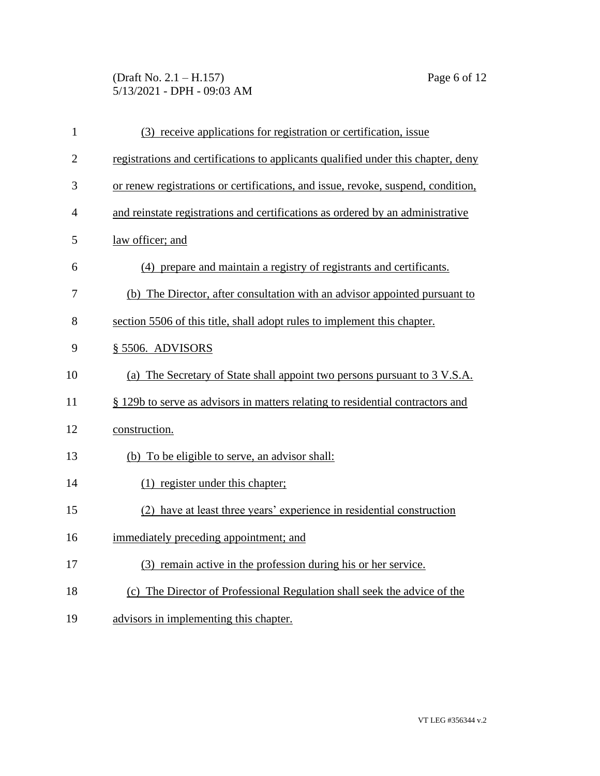# (Draft No. 2.1 – H.157) Page 6 of 12 5/13/2021 - DPH - 09:03 AM

| $\mathbf{1}$   | (3) receive applications for registration or certification, issue                 |
|----------------|-----------------------------------------------------------------------------------|
| $\overline{2}$ | registrations and certifications to applicants qualified under this chapter, deny |
| 3              | or renew registrations or certifications, and issue, revoke, suspend, condition,  |
| $\overline{4}$ | and reinstate registrations and certifications as ordered by an administrative    |
| 5              | law officer; and                                                                  |
| 6              | (4) prepare and maintain a registry of registrants and certificants.              |
| 7              | (b) The Director, after consultation with an advisor appointed pursuant to        |
| 8              | section 5506 of this title, shall adopt rules to implement this chapter.          |
| 9              | § 5506. ADVISORS                                                                  |
| 10             | (a) The Secretary of State shall appoint two persons pursuant to 3 V.S.A.         |
| 11             | § 129b to serve as advisors in matters relating to residential contractors and    |
| 12             | construction.                                                                     |
| 13             | (b) To be eligible to serve, an advisor shall:                                    |
| 14             | (1) register under this chapter;                                                  |
| 15             | (2) have at least three years' experience in residential construction             |
| 16             | immediately preceding appointment; and                                            |
| 17             | (3) remain active in the profession during his or her service.                    |
| 18             | (c) The Director of Professional Regulation shall seek the advice of the          |
| 19             | advisors in implementing this chapter.                                            |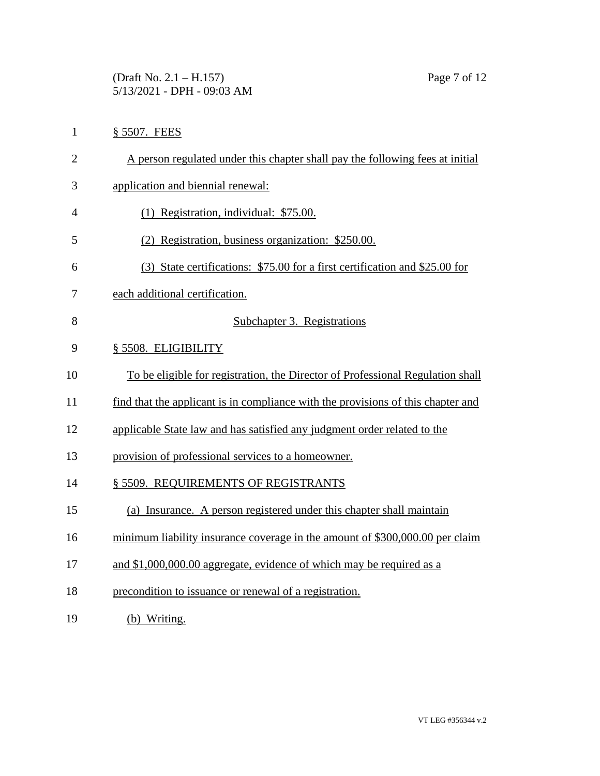(Draft No. 2.1 – H.157) Page 7 of 12 5/13/2021 - DPH - 09:03 AM

- § 5507. FEES
- A person regulated under this chapter shall pay the following fees at initial
- application and biennial renewal:
- (1) Registration, individual: \$75.00.
- (2) Registration, business organization: \$250.00.
- (3) State certifications: \$75.00 for a first certification and \$25.00 for
- each additional certification.
- Subchapter 3. Registrations
- § 5508. ELIGIBILITY
- To be eligible for registration, the Director of Professional Regulation shall
- find that the applicant is in compliance with the provisions of this chapter and
- applicable State law and has satisfied any judgment order related to the
- provision of professional services to a homeowner.
- 14 § 5509. REQUIREMENTS OF REGISTRANTS
- (a) Insurance. A person registered under this chapter shall maintain
- minimum liability insurance coverage in the amount of \$300,000.00 per claim
- 17 and \$1,000,000.00 aggregate, evidence of which may be required as a
- precondition to issuance or renewal of a registration.
- (b) Writing.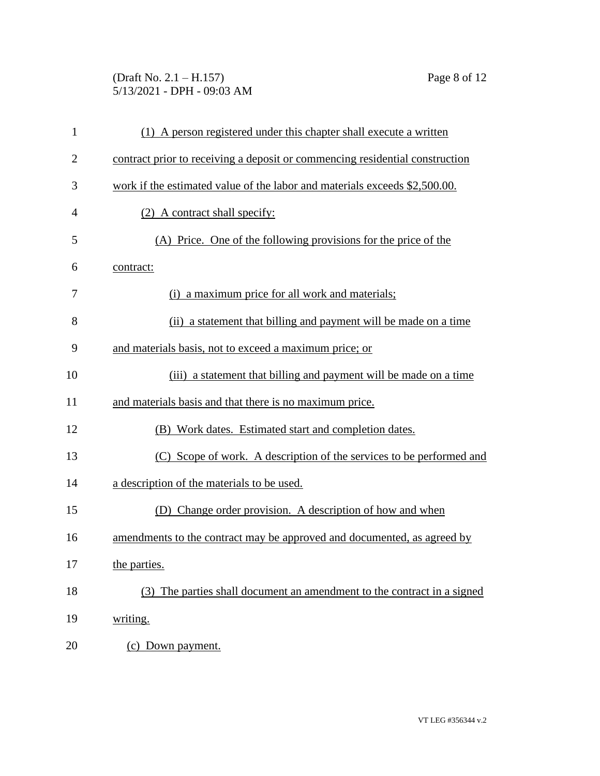# (Draft No. 2.1 – H.157) Page 8 of 12 5/13/2021 - DPH - 09:03 AM

| $\mathbf{1}$   | (1) A person registered under this chapter shall execute a written           |
|----------------|------------------------------------------------------------------------------|
| $\overline{c}$ | contract prior to receiving a deposit or commencing residential construction |
| 3              | work if the estimated value of the labor and materials exceeds \$2,500.00.   |
| 4              | (2) A contract shall specify:                                                |
| 5              | (A) Price. One of the following provisions for the price of the              |
| 6              | contract:                                                                    |
| 7              | (i) a maximum price for all work and materials;                              |
| 8              | (ii) a statement that billing and payment will be made on a time             |
| 9              | and materials basis, not to exceed a maximum price; or                       |
| 10             | (iii) a statement that billing and payment will be made on a time            |
| 11             | and materials basis and that there is no maximum price.                      |
| 12             | (B) Work dates. Estimated start and completion dates.                        |
| 13             | (C) Scope of work. A description of the services to be performed and         |
| 14             | a description of the materials to be used.                                   |
| 15             | (D) Change order provision. A description of how and when                    |
| 16             | amendments to the contract may be approved and documented, as agreed by      |
| 17             | the parties.                                                                 |
| 18             | The parties shall document an amendment to the contract in a signed          |
| 19             | writing.                                                                     |
| 20             | (c) Down payment.                                                            |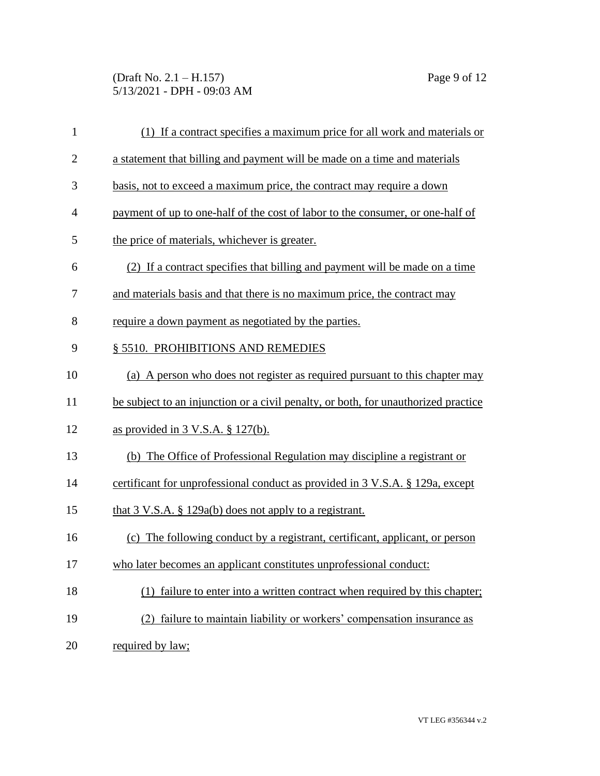#### (Draft No. 2.1 – H.157) Page 9 of 12 5/13/2021 - DPH - 09:03 AM

| $\mathbf{1}$   | (1) If a contract specifies a maximum price for all work and materials or          |
|----------------|------------------------------------------------------------------------------------|
| $\overline{2}$ | a statement that billing and payment will be made on a time and materials          |
| 3              | basis, not to exceed a maximum price, the contract may require a down              |
| $\overline{4}$ | payment of up to one-half of the cost of labor to the consumer, or one-half of     |
| 5              | the price of materials, whichever is greater.                                      |
| 6              | (2) If a contract specifies that billing and payment will be made on a time        |
| 7              | and materials basis and that there is no maximum price, the contract may           |
| 8              | require a down payment as negotiated by the parties.                               |
| 9              | § 5510. PROHIBITIONS AND REMEDIES                                                  |
| 10             | (a) A person who does not register as required pursuant to this chapter may        |
| 11             | be subject to an injunction or a civil penalty, or both, for unauthorized practice |
| 12             | as provided in $3$ V.S.A. $\S$ 127(b).                                             |
| 13             | (b) The Office of Professional Regulation may discipline a registrant or           |
| 14             | certificant for unprofessional conduct as provided in 3 V.S.A. § 129a, except      |
| 15             | that $3 \text{ V.S.A. }$ $\S$ 129a(b) does not apply to a registrant.              |
| 16             | (c) The following conduct by a registrant, certificant, applicant, or person       |
| 17             | who later becomes an applicant constitutes unprofessional conduct:                 |
| 18             | failure to enter into a written contract when required by this chapter;<br>(1)     |
| 19             | failure to maintain liability or workers' compensation insurance as                |
| 20             | required by law;                                                                   |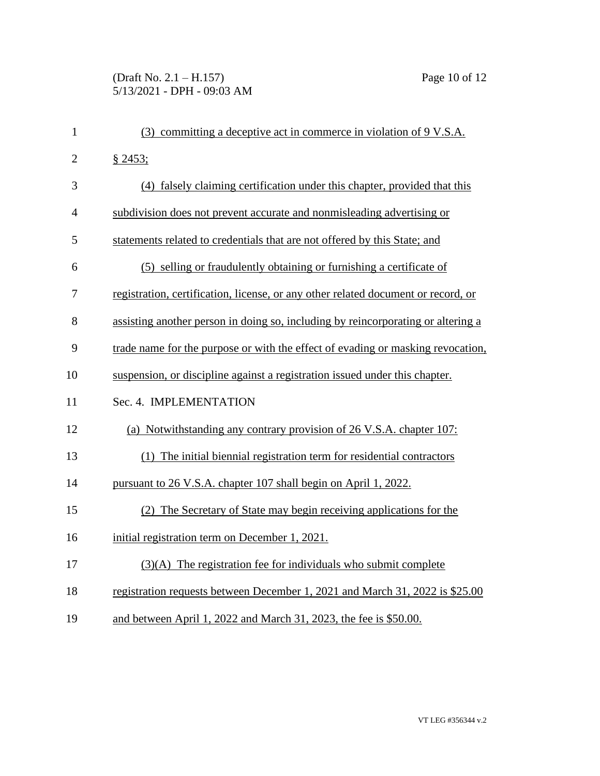# (Draft No. 2.1 – H.157) Page 10 of 12 5/13/2021 - DPH - 09:03 AM

| $\mathbf{1}$   | (3) committing a deceptive act in commerce in violation of 9 V.S.A.               |
|----------------|-----------------------------------------------------------------------------------|
| $\overline{2}$ | § 2453;                                                                           |
| 3              | (4) falsely claiming certification under this chapter, provided that this         |
| $\overline{4}$ | subdivision does not prevent accurate and nonmisleading advertising or            |
| 5              | statements related to credentials that are not offered by this State; and         |
| 6              | (5) selling or fraudulently obtaining or furnishing a certificate of              |
| 7              | registration, certification, license, or any other related document or record, or |
| 8              | assisting another person in doing so, including by reincorporating or altering a  |
| 9              | trade name for the purpose or with the effect of evading or masking revocation,   |
| 10             | suspension, or discipline against a registration issued under this chapter.       |
| 11             | Sec. 4. IMPLEMENTATION                                                            |
| 12             | (a) Notwithstanding any contrary provision of 26 V.S.A. chapter 107:              |
| 13             | (1) The initial biennial registration term for residential contractors            |
| 14             | pursuant to 26 V.S.A. chapter 107 shall begin on April 1, 2022.                   |
| 15             | (2) The Secretary of State may begin receiving applications for the               |
| 16             | initial registration term on December 1, 2021.                                    |
| 17             | $(3)(A)$ The registration fee for individuals who submit complete                 |
| 18             | registration requests between December 1, 2021 and March 31, 2022 is \$25.00      |
| 19             | and between April 1, 2022 and March 31, 2023, the fee is \$50.00.                 |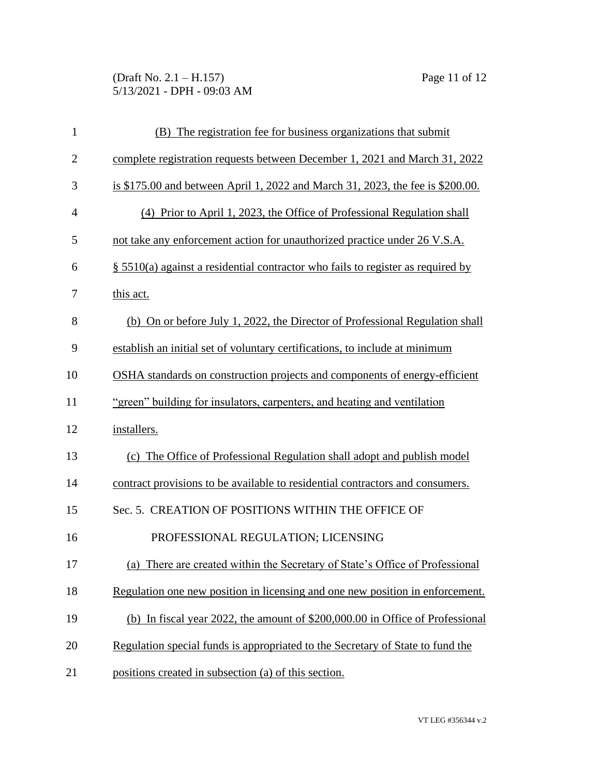(Draft No. 2.1 – H.157) Page 11 of 12 5/13/2021 - DPH - 09:03 AM

| $\mathbf{1}$   | (B) The registration fee for business organizations that submit                    |
|----------------|------------------------------------------------------------------------------------|
| $\overline{2}$ | complete registration requests between December 1, 2021 and March 31, 2022         |
| 3              | is \$175.00 and between April 1, 2022 and March 31, 2023, the fee is \$200.00.     |
| $\overline{4}$ | (4) Prior to April 1, 2023, the Office of Professional Regulation shall            |
| 5              | not take any enforcement action for unauthorized practice under 26 V.S.A.          |
| 6              | $\S$ 5510(a) against a residential contractor who fails to register as required by |
| 7              | this act.                                                                          |
| 8              | (b) On or before July 1, 2022, the Director of Professional Regulation shall       |
| 9              | establish an initial set of voluntary certifications, to include at minimum        |
| 10             | OSHA standards on construction projects and components of energy-efficient         |
| 11             | "green" building for insulators, carpenters, and heating and ventilation           |
| 12             | installers.                                                                        |
| 13             | (c) The Office of Professional Regulation shall adopt and publish model            |
| 14             | contract provisions to be available to residential contractors and consumers.      |
| 15             | Sec. 5. CREATION OF POSITIONS WITHIN THE OFFICE OF                                 |
| 16             | PROFESSIONAL REGULATION; LICENSING                                                 |
| 17             | (a) There are created within the Secretary of State's Office of Professional       |
| 18             | Regulation one new position in licensing and one new position in enforcement.      |
| 19             | (b) In fiscal year 2022, the amount of \$200,000.00 in Office of Professional      |
| 20             | Regulation special funds is appropriated to the Secretary of State to fund the     |
| 21             | positions created in subsection (a) of this section.                               |